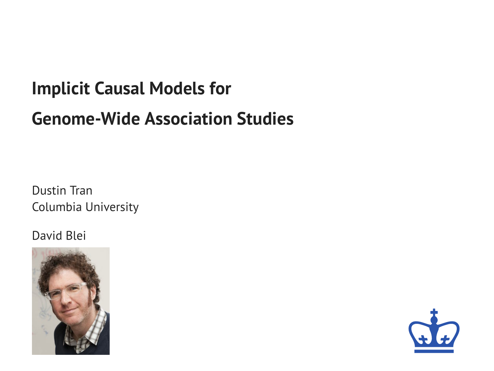# **Implicit Causal Models for Genome-Wide Association Studies**

Dustin Tran Columbia University

#### David Blei



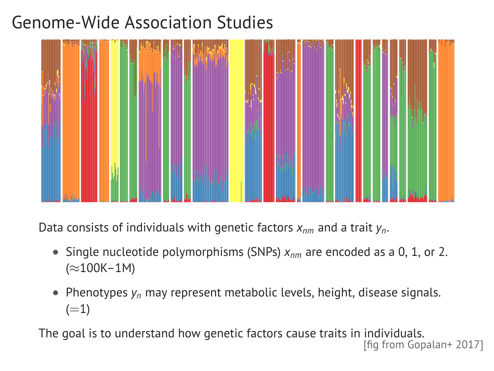# Genome-Wide Association Studies



Data consists of individuals with genetic factors *xnm* and a trait *yn*.

- Single nucleotide polymorphisms (SNPs) *xnm* are encoded as a 0, 1, or 2. (≈100K–1M)
- Phenotypes *y<sup>n</sup>* may represent metabolic levels, height, disease signals.  $(=1)$

The goal is to understand how genetic factors cause traits in individuals. [fig from Gopalan+ 2017]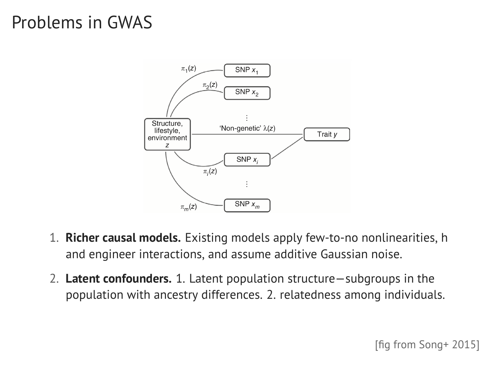### Problems in GWAS



- 1. **Richer causal models.** Existing models apply few-to-no nonlinearities, h and engineer interactions, and assume additive Gaussian noise.
- 2. **Latent confounders.** 1. Latent population structure—subgroups in the population with ancestry differences. 2. relatedness among individuals.

[fig from Song+ 2015]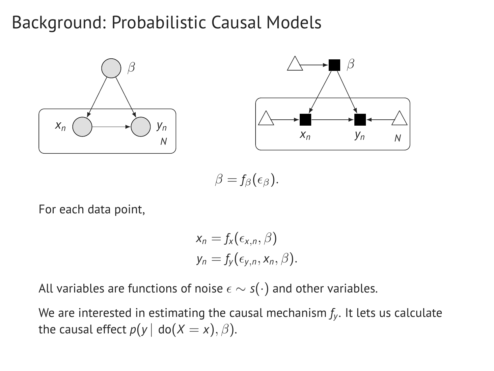#### Background: Probabilistic Causal Models





 $\beta = f_\beta(\epsilon_\beta).$ 

For each data point,

$$
x_n = f_x(\epsilon_{x,n}, \beta)
$$
  

$$
y_n = f_y(\epsilon_{y,n}, x_n, \beta).
$$

All variables are functions of noise  $\epsilon \sim s(\cdot)$  and other variables.

We are interested in estimating the causal mechanism *f<sup>y</sup>* . It lets us calculate the causal effect  $p(y \mid \text{do}(X = x), \beta)$ .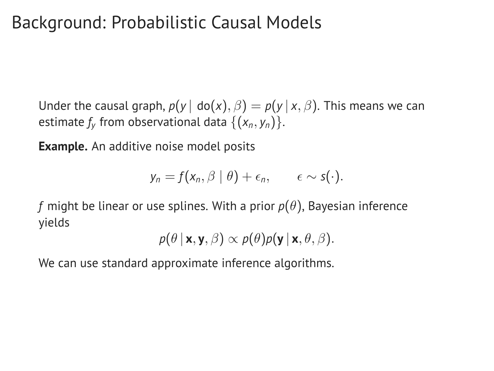### Background: Probabilistic Causal Models

Under the causal graph,  $p(y | \text{do}(x), \beta) = p(y | x, \beta)$ . This means we can estimate  $f_\mathsf{y}$  from observational data  $\{(\mathsf{x}_\mathsf{n}, \mathsf{y}_\mathsf{n})\}.$ 

**Example.** An additive noise model posits

$$
y_n = f(x_n, \beta \mid \theta) + \epsilon_n, \qquad \epsilon \sim s(\cdot).
$$

*f* might be linear or use splines. With a prior  $p(\theta)$ , Bayesian inference yields

$$
p(\theta | \mathbf{x}, \mathbf{y}, \beta) \propto p(\theta) p(\mathbf{y} | \mathbf{x}, \theta, \beta).
$$

We can use standard approximate inference algorithms.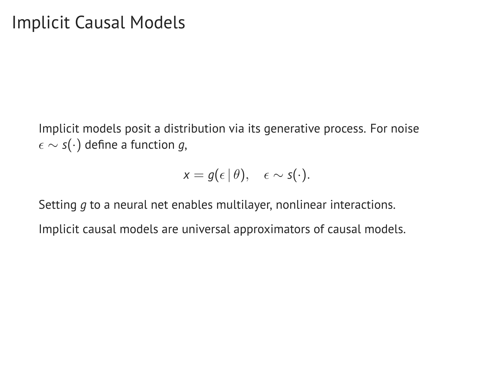Implicit models posit a distribution via its generative process. For noise ∼ *s*(·) define a function *g*,

$$
x = g(\epsilon \,|\, \theta), \quad \epsilon \sim s(\cdot).
$$

Setting *g* to a neural net enables multilayer, nonlinear interactions.

Implicit causal models are universal approximators of causal models.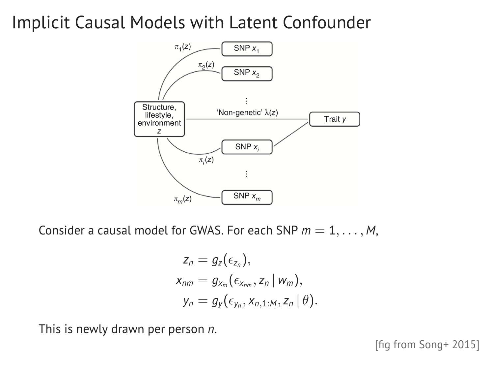### Implicit Causal Models with Latent Confounder



Consider a causal model for GWAS. For each SNP  $m = 1, \ldots, M$ ,

$$
z_n = g_z(\epsilon_{z_n}),
$$
  
\n
$$
x_{nm} = g_{x_m}(\epsilon_{x_{nm}}, z_n | w_m),
$$
  
\n
$$
y_n = g_y(\epsilon_{y_n}, x_{n,1:M}, z_n | \theta).
$$

This is newly drawn per person *n*.

[fig from Song+ 2015]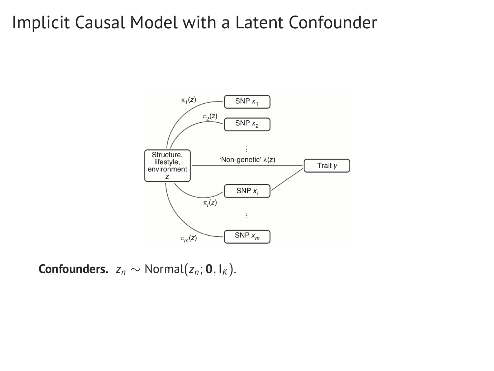#### Implicit Causal Model with a Latent Confounder



**Confounders.**  $z_n \sim \text{Normal}(z_n; \mathbf{0}, \mathbf{I}_K)$ .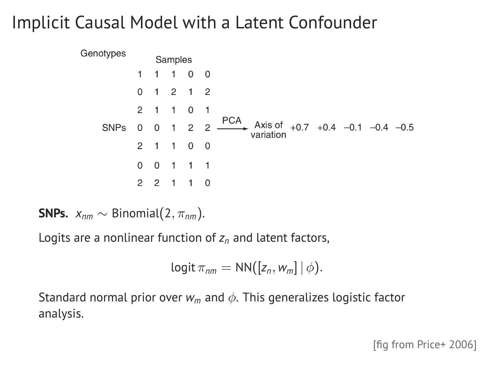# Implicit Causal Model with a Latent Confounder



**SNPs.**  $x_{nm} \sim \text{Binomial}(2, \pi_{nm})$ .

Logits are a nonlinear function of *z<sup>n</sup>* and latent factors,

$$
logit \pi_{nm} = NN([z_n, w_m] | \phi).
$$

Standard normal prior over  $w_m$  and  $\phi$ . This generalizes logistic factor analysis.

[fig from Price+ 2006]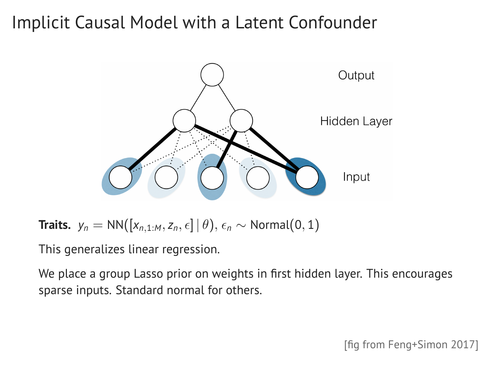# Implicit Causal Model with a Latent Confounder



**Traits.**  $y_n = NN([x_{n,1:M}, z_n, \epsilon] | \theta), \epsilon_n \sim Normal(0, 1)$ 

This generalizes linear regression.

We place a group Lasso prior on weights in first hidden layer. This encourages sparse inputs. Standard normal for others.

[fig from Feng+Simon 2017]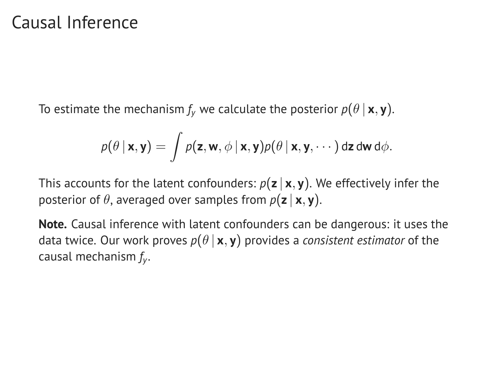#### Causal Inference

To estimate the mechanism  $f_v$  we calculate the posterior  $p(\theta | \mathbf{x}, \mathbf{y})$ .

$$
p(\theta | \mathbf{x}, \mathbf{y}) = \int p(\mathbf{z}, \mathbf{w}, \phi | \mathbf{x}, \mathbf{y}) p(\theta | \mathbf{x}, \mathbf{y}, \cdots) \, d\mathbf{z} \, d\mathbf{w} \, d\phi.
$$

This accounts for the latent confounders:  $p(z | x, y)$ . We effectively infer the posterior of  $\theta$ , averaged over samples from  $p(\mathbf{z} | \mathbf{x}, \mathbf{y})$ .

**Note.** Causal inference with latent confounders can be dangerous: it uses the data twice. Our work proves  $p(\theta | \mathbf{x}, \mathbf{y})$  provides a *consistent estimator* of the causal mechanism *f<sup>y</sup>* .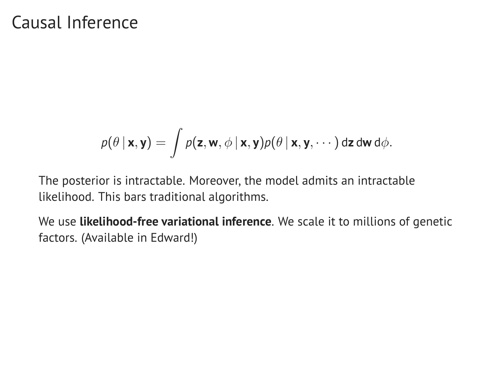#### Causal Inference

$$
p(\theta | \mathbf{x}, \mathbf{y}) = \int p(\mathbf{z}, \mathbf{w}, \phi | \mathbf{x}, \mathbf{y}) p(\theta | \mathbf{x}, \mathbf{y}, \cdots) \, d\mathbf{z} \, d\mathbf{w} \, d\phi.
$$

The posterior is intractable. Moreover, the model admits an intractable likelihood. This bars traditional algorithms.

We use **likelihood-free variational inference**. We scale it to millions of genetic factors. (Available in Edward!)